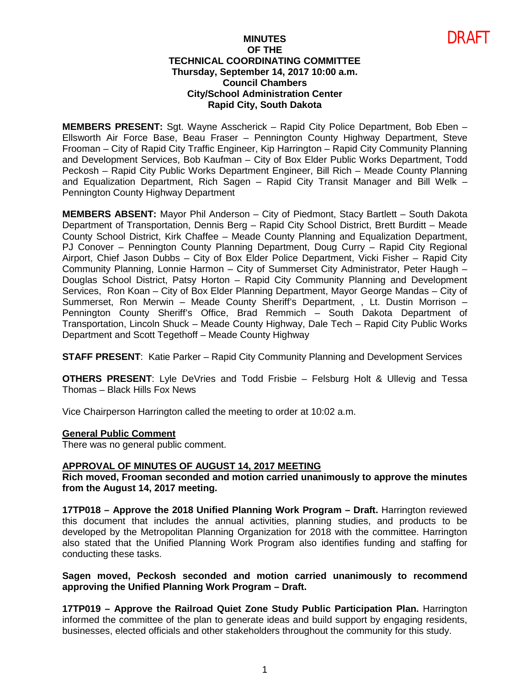# **MINUTES OF THE TECHNICAL COORDINATING COMMITTEE Thursday, September 14, 2017 10:00 a.m. Council Chambers City/School Administration Center Rapid City, South Dakota**

DRAFT

**MEMBERS PRESENT:** Sgt. Wayne Asscherick – Rapid City Police Department, Bob Eben – Ellsworth Air Force Base, Beau Fraser – Pennington County Highway Department, Steve Frooman – City of Rapid City Traffic Engineer, Kip Harrington – Rapid City Community Planning and Development Services, Bob Kaufman – City of Box Elder Public Works Department, Todd Peckosh – Rapid City Public Works Department Engineer, Bill Rich – Meade County Planning and Equalization Department, Rich Sagen – Rapid City Transit Manager and Bill Welk – Pennington County Highway Department

**MEMBERS ABSENT:** Mayor Phil Anderson – City of Piedmont, Stacy Bartlett – South Dakota Department of Transportation, Dennis Berg – Rapid City School District, Brett Burditt – Meade County School District, Kirk Chaffee – Meade County Planning and Equalization Department, PJ Conover – Pennington County Planning Department, Doug Curry – Rapid City Regional Airport, Chief Jason Dubbs – City of Box Elder Police Department, Vicki Fisher – Rapid City Community Planning, Lonnie Harmon – City of Summerset City Administrator, Peter Haugh – Douglas School District, Patsy Horton – Rapid City Community Planning and Development Services, Ron Koan – City of Box Elder Planning Department, Mayor George Mandas – City of Summerset, Ron Merwin – Meade County Sheriff's Department, , Lt. Dustin Morrison – Pennington County Sheriff's Office, Brad Remmich – South Dakota Department of Transportation, Lincoln Shuck – Meade County Highway, Dale Tech – Rapid City Public Works Department and Scott Tegethoff – Meade County Highway

**STAFF PRESENT**: Katie Parker – Rapid City Community Planning and Development Services

**OTHERS PRESENT**: Lyle DeVries and Todd Frisbie – Felsburg Holt & Ullevig and Tessa Thomas – Black Hills Fox News

Vice Chairperson Harrington called the meeting to order at 10:02 a.m.

# **General Public Comment**

There was no general public comment.

# **APPROVAL OF MINUTES OF AUGUST 14, 2017 MEETING**

**Rich moved, Frooman seconded and motion carried unanimously to approve the minutes from the August 14, 2017 meeting.** 

**17TP018 – Approve the 2018 Unified Planning Work Program – Draft.** Harrington reviewed this document that includes the annual activities, planning studies, and products to be developed by the Metropolitan Planning Organization for 2018 with the committee. Harrington also stated that the Unified Planning Work Program also identifies funding and staffing for conducting these tasks.

**Sagen moved, Peckosh seconded and motion carried unanimously to recommend approving the Unified Planning Work Program – Draft.** 

**17TP019 – Approve the Railroad Quiet Zone Study Public Participation Plan.** Harrington informed the committee of the plan to generate ideas and build support by engaging residents, businesses, elected officials and other stakeholders throughout the community for this study.